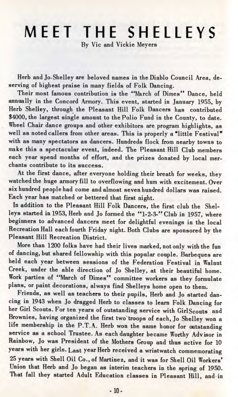## MEET THE SHELLEYS

By Vic and Vickie Meyers

Herb and Jo-Shelley are beloved names in the Diablo Council Area, deserving of highest praise in many fields of Folk Dancing.

Their most famous contribution is the "March of Dimes" Dance, held annually in the Concord Armory. This event, started in January 1955, by Herb Shelley, through the Pleasant Hill Folk Dancers has contributed \$4000, the largest single amount to the Polio Fund in the County, to date. Wheel Chair dance groups and other exhibitors are program highlights, as well as noted callers from other areas. This is properly a "little Festival" with as many spectators as dancers. Hundreds flock from nearby towns to make this a spectacular event, indeed. The Pleasant Hill Club members each year spend months of effort, and the prizes donated by local merchants contribute to its success.

At the first dance, after everyone holding their breath for weeks, they watched the huge armory fill to overflowing and hum with excitement. Over six hundred people had come and almost seven hundred dollars was raised. Each year has matched or bettered that first night.

In addition to the Pleasant Hill Folk Dancers, the first club the Shelleys started in 1953, Herb and Jo formed the "1-2-3-" Club in 1957, where beginners to advanced dancers meet for delightful evenings in the local Recreation Hall each fourth Friday night. Both Clubs are sponsored by the Pleasant Hill Recreation District.

More than 1200 folks have had their lives marked, not only with the fun of dancing, but shared fellowship with this popular couple. Barbeques are held each year between sessions of the Federation Festival in Walnut Creek, under the able direction of Jo Shelley, at their beautiful home. Work parties of "March of Dimes" committee workers as they formulate plans, or paint decorations, always find Shelleys home open to them.

Friends, as well as teachers to their pupils, Herb and Jo started dancing in 1943 when Jo dragged Herb to classes to learn Folk Dancing for her Girl Scouts. For ten years of outstanding service with GirlScouts and Brownies, having organized the first two troops of each, Jo Shelley won a life membership in the P.T.A. Herb won the same honor for outstanding service as a school Trustee. As each daughter became Worthy Advisor in Rainbow, Jo was President of the Mothers Group and thus active for 10 years with her girls. Last year Herb received a wristwatch commemorating 25 years with Shell Oil Co., of Martinez, and it was for Shell Oil Workers' Union that Herb and Jo began as interim teachers in the spring of 1950. That fall they started Adult Education classes in Pleasant Hill, and in